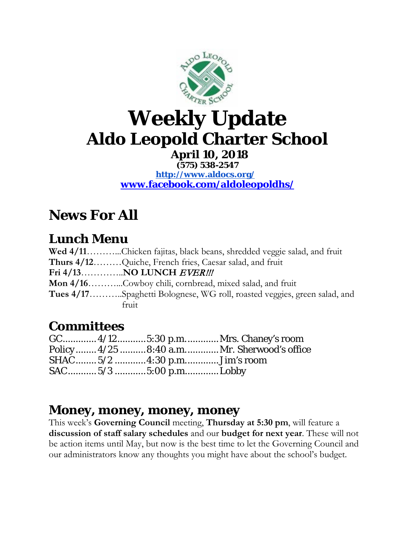

# **Weekly Update Aldo Leopold Charter School**

**April 10, 2018 (575) 538-2547 <http://www.aldocs.org/> [www.facebook.com/aldoleopoldhs/](http://www.facebook.com/aldoleopoldhs/)**

## **News For All**

#### **Lunch Menu**

| Wed 4/11Chicken fajitas, black beans, shredded veggie salad, and fruit           |  |  |
|----------------------------------------------------------------------------------|--|--|
| Thurs 4/12Quiche, French fries, Caesar salad, and fruit                          |  |  |
|                                                                                  |  |  |
| Mon 4/16Cowboy chili, cornbread, mixed salad, and fruit                          |  |  |
| <b>Tues 4/17</b> Spaghetti Bolognese, WG roll, roasted veggies, green salad, and |  |  |
| fruit                                                                            |  |  |

#### **Committees**

|  | GC 4/12 5:30 p.m Mrs. Chaney's room         |
|--|---------------------------------------------|
|  | Policy 4/25  8:40 a.m Mr. Sherwood's office |
|  |                                             |
|  |                                             |

#### **Money, money, money, money**

This week's **Governing Council** meeting, **Thursday at 5:30 pm**, will feature a **discussion of staff salary schedules** and our **budget for next year**. These will not be action items until May, but now is the best time to let the Governing Council and our administrators know any thoughts you might have about the school's budget.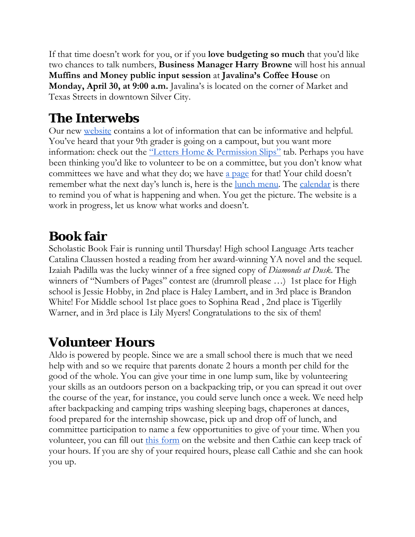If that time doesn't work for you, or if you **love budgeting so much** that you'd like two chances to talk numbers, **Business Manager Harry Browne** will host his annual **Muffins and Money public input session** at **Javalina's Coffee House** on **Monday, April 30, at 9:00 a.m.** Javalina's is located on the corner of Market and Texas Streets in downtown Silver City.

#### **The Interwebs**

Our new [website](https://www.aldocs.org/) contains a lot of information that can be informative and helpful. You've heard that your 9th grader is going on a campout, but you want more information: check out the <u>"Letters Home & Permission Slips"</u> tab. Perhaps you have been thinking you'd like to volunteer to be on a committee, but you don't know what committees we have and what they do; we have <u>a page</u> for that! Your child doesn't remember what the next day's lunch is, here is the <u>lunch menu</u>. The <u>calendar</u> is there to remind you of what is happening and when. You get the picture. The website is a work in progress, let us know what works and doesn't.

#### **Book fair**

Scholastic Book Fair is running until Thursday! High school Language Arts teacher Catalina Claussen hosted a reading from her award-winning YA novel and the sequel. Izaiah Padilla was the lucky winner of a free signed copy of *Diamonds at Dusk*. The winners of "Numbers of Pages" contest are (drumroll please ...) 1st place for High school is Jessie Hobby, in 2nd place is Haley Lambert, and in 3rd place is Brandon White! For Middle school 1st place goes to Sophina Read , 2nd place is Tigerlily Warner, and in 3rd place is Lily Myers! Congratulations to the six of them!

#### **Volunteer Hours**

Aldo is powered by people. Since we are a small school there is much that we need help with and so we require that parents donate 2 hours a month per child for the good of the whole. You can give your time in one lump sum, like by volunteering your skills as an outdoors person on a backpacking trip, or you can spread it out over the course of the year, for instance, you could serve lunch once a week. We need help after backpacking and camping trips washing sleeping bags, chaperones at dances, food prepared for the internship showcase, pick up and drop off of lunch, and committee participation to name a few opportunities to give of your time. When you volunteer, you can fill out [this form](https://docs.google.com/forms/d/e/1FAIpQLSckISyev_xH8RnXGtwqaGEEfcrDL7BJAlsqttK-QqzBdTIf4w/viewform) on the website and then Cathie can keep track of your hours. If you are shy of your required hours, please call Cathie and she can hook you up.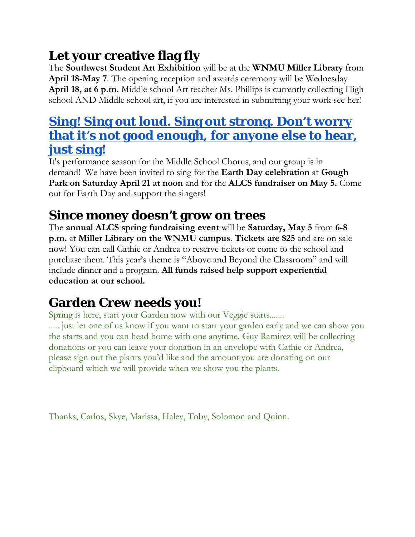## **Let your creative flag fly**

The **Southwest Student Art Exhibition** will be at the **WNMU Miller Library** from **April 18-May 7**. The opening reception and awards ceremony will be Wednesday **April 18, at 6 p.m.** Middle school Art teacher Ms. Phillips is currently collecting High school AND Middle school art, if you are interested in submitting your work see her!

#### **[Sing! Sing out loud. Sing out strong. Don't worry](https://www.youtube.com/watch?v=iYjcNR7W-Ow)  [that it's not good enough, for anyone else to hear,](https://www.youtube.com/watch?v=iYjcNR7W-Ow)  [just sing!](https://www.youtube.com/watch?v=iYjcNR7W-Ow)**

It's performance season for the Middle School Chorus, and our group is in demand! We have been invited to sing for the **Earth Day celebration** at **Gough Park on Saturday April 21 at noon** and for the **ALCS fundraiser on May 5.** Come out for Earth Day and support the singers!

#### **Since money doesn't grow on trees**

The **annual ALCS spring fundraising event** will be **Saturday, May 5** from **6-8 p.m.** at **Miller Library on the WNMU campus**. **Tickets are \$25** and are on sale now! You can call Cathie or Andrea to reserve tickets or come to the school and purchase them. This year's theme is "Above and Beyond the Classroom" and will include dinner and a program. **All funds raised help support experiential education at our school.** 

## **Garden Crew needs you!**

Spring is here, start your Garden now with our Veggie starts....... ..... just let one of us know if you want to start your garden early and we can show you the starts and you can head home with one anytime. Guy Ramirez will be collecting donations or you can leave your donation in an envelope with Cathie or Andrea, please sign out the plants you'd like and the amount you are donating on our clipboard which we will provide when we show you the plants.

Thanks, Carlos, Skye, Marissa, Haley, Toby, Solomon and Quinn.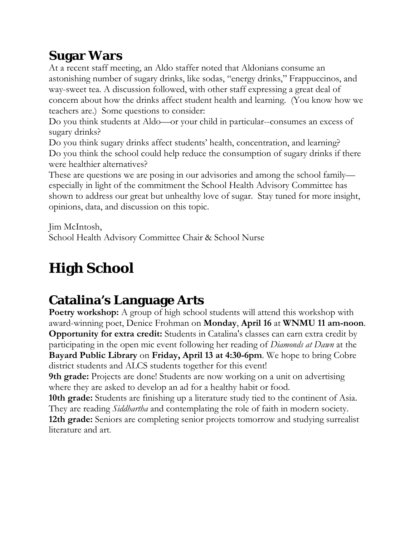## **Sugar Wars**

At a recent staff meeting, an Aldo staffer noted that Aldonians consume an astonishing number of sugary drinks, like sodas, "energy drinks," Frappuccinos, and way-sweet tea. A discussion followed, with other staff expressing a great deal of concern about how the drinks affect student health and learning. (You know how we teachers are.) Some questions to consider:

Do you think students at Aldo—or your child in particular--consumes an excess of sugary drinks?

Do you think sugary drinks affect students' health, concentration, and learning? Do you think the school could help reduce the consumption of sugary drinks if there were healthier alternatives?

These are questions we are posing in our advisories and among the school family especially in light of the commitment the School Health Advisory Committee has shown to address our great but unhealthy love of sugar. Stay tuned for more insight, opinions, data, and discussion on this topic.

Jim McIntosh,

School Health Advisory Committee Chair & School Nurse

## **High School**

## **Catalina's Language Arts**

**Poetry workshop:** A group of high school students will attend this workshop with award-winning poet, Denice Frohman on **Monday**, **April 16** at **WNMU 11 am-noon**. **Opportunity for extra credit:** Students in Catalina's classes can earn extra credit by participating in the open mic event following her reading of *Diamonds at Dawn* at the **Bayard Public Library** on **Friday, April 13 at 4:30-6pm**. We hope to bring Cobre district students and ALCS students together for this event!

**9th grade:** Projects are done! Students are now working on a unit on advertising where they are asked to develop an ad for a healthy habit or food.

**10th grade:** Students are finishing up a literature study tied to the continent of Asia. They are reading *Siddhartha* and contemplating the role of faith in modern society. **12th grade:** Seniors are completing senior projects tomorrow and studying surrealist literature and art.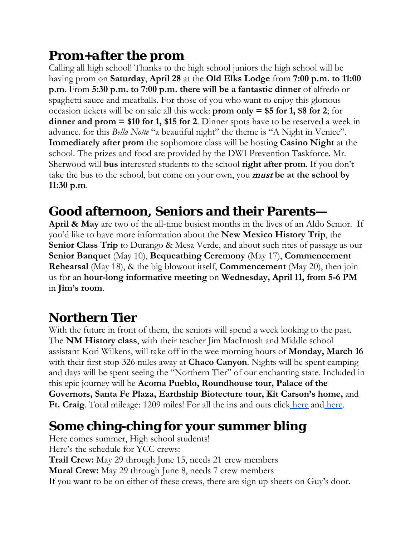#### **Prom+***after* **the prom**

Calling all high school! Thanks to the high school juniors the high school will be having prom on **Saturday**, **April 28** at the **Old Elks Lodge** from **7:00 p.m. to 11:00 p.m**. From **5:30 p.m. to 7:00 p.m. there will be a fantastic dinner** of alfredo or spaghetti sauce and meatballs. For those of you who want to enjoy this glorious occasion tickets will be on sale all this week: **prom only = \$5 for 1, \$8 for 2**; for **dinner and prom = \$10 for 1, \$15 for 2**. Dinner spots have to be reserved a week in advance. for this *Bella Notte* "a beautiful night" the theme is "A Night in Venice". **Immediately after prom** the sophomore class will be hosting **Casino Night** at the school. The prizes and food are provided by the DWI Prevention Taskforce. Mr. Sherwood will **bus** interested students to the school **right after prom**. If you don't take the bus to the school, but come on your own, you must **be at the school by 11:30 p.m**.

## **Good afternoon, Seniors and their Parents—**

**April & May** are two of the all-time busiest months in the lives of an Aldo Senior. If you'd like to have more information about the **New Mexico History Trip**, the **Senior Class Trip** to Durango & Mesa Verde, and about such rites of passage as our **Senior Banquet** (May 10), **Bequeathing Ceremony** (May 17), **Commencement Rehearsal** (May 18), & the big blowout itself, **Commencement** (May 20), then join us for an **hour-long informative meeting** on **Wednesday, April 11, from 5-6 PM**  in **Jim's room**.

## **Northern Tier**

With the future in front of them, the seniors will spend a week looking to the past. The **NM History class**, with their teacher Jim MacIntosh and Middle school assistant Kori Wilkens, will take off in the wee morning hours of **Monday, March 16** with their first stop 326 miles away at **Chaco Canyon**. Nights will be spent camping and days will be spent seeing the "Northern Tier" of our enchanting state. Included in this epic journey will be **Acoma Pueblo, Roundhouse tour, Palace of the Governors, Santa Fe Plaza, Earthship Biotecture tour, Kit Carson's home,** and **Ft. Craig**. Total mileage: 1209 miles! For all the ins and outs click [here](https://www.aldocs.org/uploads/1/1/5/7/115705285/northerntierpermission2018.pdf) and [here.](https://www.aldocs.org/uploads/1/1/5/7/115705285/newmexicohistorytripitinerary.pdf)

## **Some ching-ching for your summer bling**

Here comes summer, High school students! Here's the schedule for YCC crews: **Trail Crew:** May 29 through June 15, needs 21 crew members **Mural Crew:** May 29 through June 8, needs 7 crew members If you want to be on either of these crews, there are sign up sheets on Guy's door.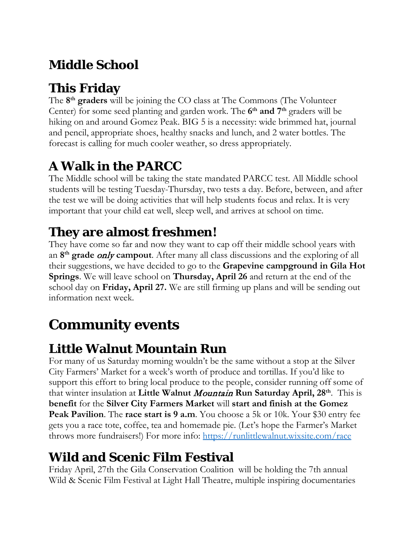## **Middle School**

## **This Friday**

The **8th graders** will be joining the CO class at The Commons (The Volunteer Center) for some seed planting and garden work. The **6th and 7th** graders will be hiking on and around Gomez Peak. BIG 5 is a necessity: wide brimmed hat, journal and pencil, appropriate shoes, healthy snacks and lunch, and 2 water bottles. The forecast is calling for much cooler weather, so dress appropriately.

## **A Walk in the PARCC**

The Middle school will be taking the state mandated PARCC test. All Middle school students will be testing Tuesday-Thursday, two tests a day. Before, between, and after the test we will be doing activities that will help students focus and relax. It is very important that your child eat well, sleep well, and arrives at school on time.

## **They are almost freshmen!**

They have come so far and now they want to cap off their middle school years with an **8th grade** only **campout**. After many all class discussions and the exploring of all their suggestions, we have decided to go to the **Grapevine campground in Gila Hot Springs**. We will leave school on **Thursday, April 26** and return at the end of the school day on **Friday, April 27.** We are still firming up plans and will be sending out information next week.

## **Community events**

## **Little Walnut Mountain Run**

For many of us Saturday morning wouldn't be the same without a stop at the Silver City Farmers' Market for a week's worth of produce and tortillas. If you'd like to support this effort to bring local produce to the people, consider running off some of that winter insulation at **Little Walnut** Mountain **Run Saturday April, 28th**. This is **benefit** for the **Silver City Farmers Market** will **start and finish at the Gomez Peak Pavilion**. The **race start is 9 a.m**. You choose a 5k or 10k. Your \$30 entry fee gets you a race tote, coffee, tea and homemade pie. (Let's hope the Farmer's Market throws more fundraisers!) For more info:<https://runlittlewalnut.wixsite.com/race>

## **Wild and Scenic Film Festival**

Friday April, 27th the Gila Conservation Coalition will be holding the 7th annual Wild & Scenic Film Festival at Light Hall Theatre, multiple inspiring documentaries